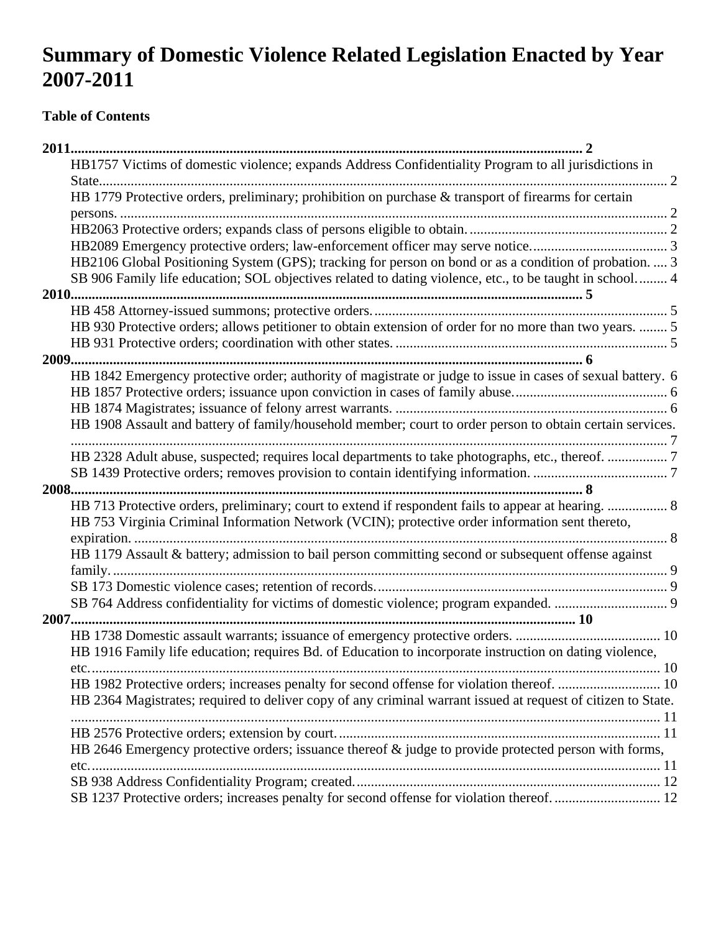# **Summary of Domestic Violence Related Legislation Enacted by Year 2007-2011**

## **Table of Contents**

| HB1757 Victims of domestic violence; expands Address Confidentiality Program to all jurisdictions in         |    |
|--------------------------------------------------------------------------------------------------------------|----|
| . 2                                                                                                          |    |
| HB 1779 Protective orders, preliminary; prohibition on purchase & transport of firearms for certain          |    |
|                                                                                                              |    |
|                                                                                                              |    |
|                                                                                                              |    |
| HB2106 Global Positioning System (GPS); tracking for person on bond or as a condition of probation.  3       |    |
| SB 906 Family life education; SOL objectives related to dating violence, etc., to be taught in school 4      |    |
|                                                                                                              |    |
|                                                                                                              |    |
| HB 930 Protective orders; allows petitioner to obtain extension of order for no more than two years.  5      |    |
|                                                                                                              |    |
|                                                                                                              |    |
| HB 1842 Emergency protective order; authority of magistrate or judge to issue in cases of sexual battery. 6  |    |
|                                                                                                              |    |
|                                                                                                              |    |
| HB 1908 Assault and battery of family/household member; court to order person to obtain certain services.    |    |
|                                                                                                              |    |
| HB 2328 Adult abuse, suspected; requires local departments to take photographs, etc., thereof. 7             |    |
|                                                                                                              |    |
|                                                                                                              |    |
| HB 713 Protective orders, preliminary; court to extend if respondent fails to appear at hearing.  8          |    |
| HB 753 Virginia Criminal Information Network (VCIN); protective order information sent thereto,              |    |
|                                                                                                              |    |
| HB 1179 Assault & battery; admission to bail person committing second or subsequent offense against          |    |
|                                                                                                              |    |
|                                                                                                              |    |
|                                                                                                              |    |
|                                                                                                              |    |
|                                                                                                              |    |
| HB 1916 Family life education; requires Bd. of Education to incorporate instruction on dating violence,      |    |
| etc.                                                                                                         | 10 |
|                                                                                                              |    |
| HB 2364 Magistrates; required to deliver copy of any criminal warrant issued at request of citizen to State. |    |
|                                                                                                              |    |
|                                                                                                              |    |
| HB 2646 Emergency protective orders; issuance thereof & judge to provide protected person with forms,        |    |
|                                                                                                              |    |
|                                                                                                              |    |
|                                                                                                              |    |
| SB 1237 Protective orders; increases penalty for second offense for violation thereof 12                     |    |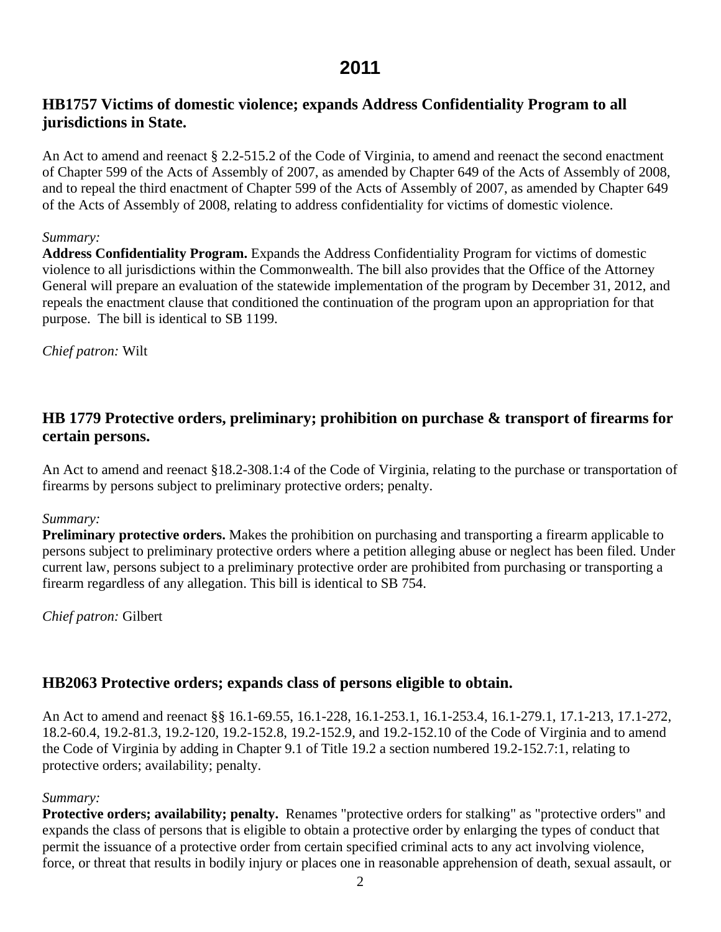#### <span id="page-1-0"></span>**HB1757 Victims of domestic violence; expands Address Confidentiality Program to all jurisdictions in State.**

An Act to amend and reenact § 2.2-515.2 of the Code of Virginia, to amend and reenact the second enactment of Chapter 599 of the Acts of Assembly of 2007, as amended by Chapter 649 of the Acts of Assembly of 2008, and to repeal the third enactment of Chapter 599 of the Acts of Assembly of 2007, as amended by Chapter 649 of the Acts of Assembly of 2008, relating to address confidentiality for victims of domestic violence.

#### *Summary:*

**Address Confidentiality Program.** Expands the Address Confidentiality Program for victims of domestic violence to all jurisdictions within the Commonwealth. The bill also provides that the Office of the Attorney General will prepare an evaluation of the statewide implementation of the program by December 31, 2012, and repeals the enactment clause that conditioned the continuation of the program upon an appropriation for that purpose. The bill is identical to SB 1199.

*Chief patron:* Wilt

### **[HB 1779](http://leg1.state.va.us/cgi-bin/legp504.exe?111+sum+HB1779) Protective orders, preliminary; prohibition on purchase & transport of firearms for certain persons.**

An Act to amend and reenact §18.2-308.1:4 of the Code of Virginia, relating to the purchase or transportation of firearms by persons subject to preliminary protective orders; penalty.

#### *Summary:*

**Preliminary protective orders.** Makes the prohibition on purchasing and transporting a firearm applicable to persons subject to preliminary protective orders where a petition alleging abuse or neglect has been filed. Under current law, persons subject to a preliminary protective order are prohibited from purchasing or transporting a firearm regardless of any allegation. This bill is identical to SB 754.

*Chief patron:* Gilbert

#### **HB2063 Protective orders; expands class of persons eligible to obtain.**

An Act to amend and reenact §§ 16.1-69.55, 16.1-228, 16.1-253.1, 16.1-253.4, 16.1-279.1, 17.1-213, 17.1-272, 18.2-60.4, 19.2-81.3, 19.2-120, 19.2-152.8, 19.2-152.9, and 19.2-152.10 of the Code of Virginia and to amend the Code of Virginia by adding in Chapter 9.1 of Title 19.2 a section numbered 19.2-152.7:1, relating to protective orders; availability; penalty.

#### *Summary:*

**Protective orders; availability; penalty.** Renames "protective orders for stalking" as "protective orders" and expands the class of persons that is eligible to obtain a protective order by enlarging the types of conduct that permit the issuance of a protective order from certain specified criminal acts to any act involving violence, force, or threat that results in bodily injury or places one in reasonable apprehension of death, sexual assault, or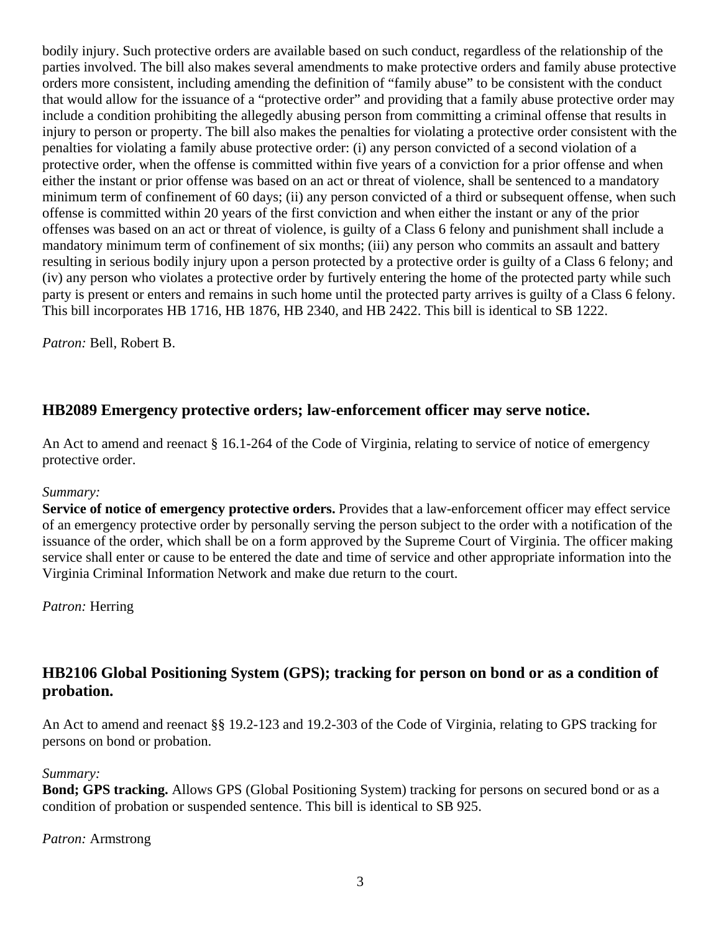<span id="page-2-0"></span>bodily injury. Such protective orders are available based on such conduct, regardless of the relationship of the parties involved. The bill also makes several amendments to make protective orders and family abuse protective orders more consistent, including amending the definition of "family abuse" to be consistent with the conduct that would allow for the issuance of a "protective order" and providing that a family abuse protective order may include a condition prohibiting the allegedly abusing person from committing a criminal offense that results in injury to person or property. The bill also makes the penalties for violating a protective order consistent with the penalties for violating a family abuse protective order: (i) any person convicted of a second violation of a protective order, when the offense is committed within five years of a conviction for a prior offense and when either the instant or prior offense was based on an act or threat of violence, shall be sentenced to a mandatory minimum term of confinement of 60 days; (ii) any person convicted of a third or subsequent offense, when such offense is committed within 20 years of the first conviction and when either the instant or any of the prior offenses was based on an act or threat of violence, is guilty of a Class 6 felony and punishment shall include a mandatory minimum term of confinement of six months; (iii) any person who commits an assault and battery resulting in serious bodily injury upon a person protected by a protective order is guilty of a Class 6 felony; and (iv) any person who violates a protective order by furtively entering the home of the protected party while such party is present or enters and remains in such home until the protected party arrives is guilty of a Class 6 felony. This bill incorporates HB 1716, HB 1876, HB 2340, and HB 2422. This bill is identical to SB 1222.

*Patron:* Bell, Robert B.

### **HB2089 Emergency protective orders; law-enforcement officer may serve notice.**

An Act to amend and reenact § 16.1-264 of the Code of Virginia, relating to service of notice of emergency protective order.

#### *Summary:*

**Service of notice of emergency protective orders.** Provides that a law-enforcement officer may effect service of an emergency protective order by personally serving the person subject to the order with a notification of the issuance of the order, which shall be on a form approved by the Supreme Court of Virginia. The officer making service shall enter or cause to be entered the date and time of service and other appropriate information into the Virginia Criminal Information Network and make due return to the court.

*Patron:* Herring

### **HB2106 Global Positioning System (GPS); tracking for person on bond or as a condition of probation.**

An Act to amend and reenact §§ 19.2-123 and 19.2-303 of the Code of Virginia, relating to GPS tracking for persons on bond or probation.

#### *Summary:*

**Bond; GPS tracking.** Allows GPS (Global Positioning System) tracking for persons on secured bond or as a condition of probation or suspended sentence. This bill is identical to SB 925.

#### *Patron:* Armstrong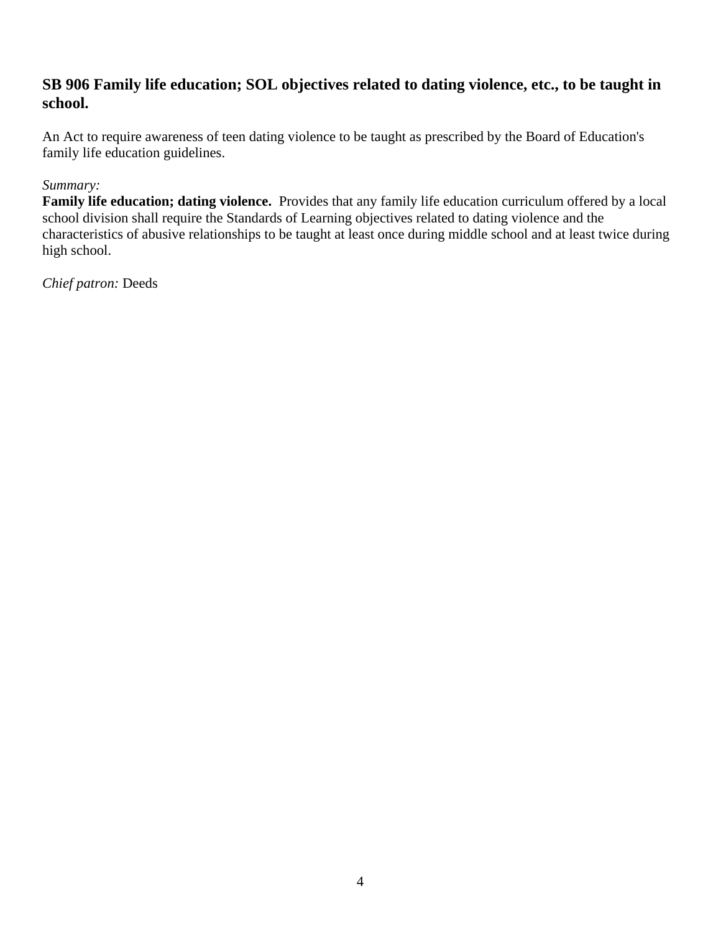#### <span id="page-3-0"></span>**[SB 906](http://leg1.state.va.us/cgi-bin/legp504.exe?111+sum+SB906) Family life education; SOL objectives related to dating violence, etc., to be taught in school.**

An Act to require awareness of teen dating violence to be taught as prescribed by the Board of Education's family life education guidelines.

#### *Summary:*

**Family life education; dating violence.** Provides that any family life education curriculum offered by a local school division shall require the Standards of Learning objectives related to dating violence and the characteristics of abusive relationships to be taught at least once during middle school and at least twice during high school.

*Chief patron:* Deeds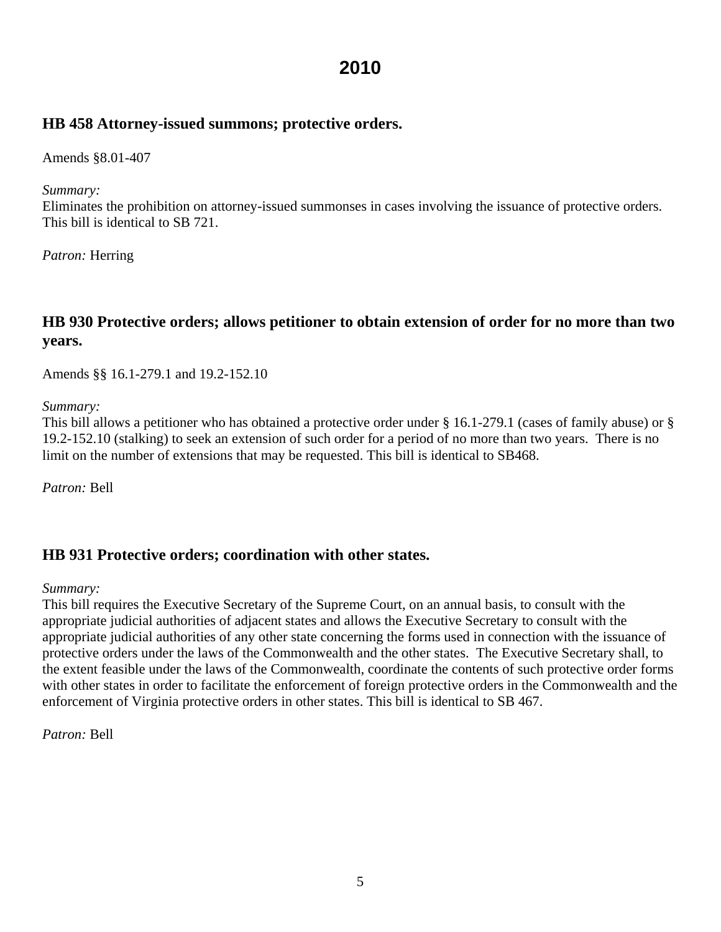#### <span id="page-4-0"></span>**[HB 458](http://leg1.state.va.us/cgi-bin/legp504.exe?101+sum+HB458) Attorney-issued summons; protective orders.**

Amends §8.01-407

*Summary:* 

Eliminates the prohibition on attorney-issued summonses in cases involving the issuance of protective orders. This bill is identical to SB 721.

*Patron:* Herring

### **[HB 930](http://leg1.state.va.us/cgi-bin/legp504.exe?101+sum+HB930) Protective orders; allows petitioner to obtain extension of order for no more than two years.**

Amends §§ 16.1-279.1 and 19.2-152.10

*Summary:*

This bill allows a petitioner who has obtained a protective order under § 16.1-279.1 (cases of family abuse) or § 19.2-152.10 (stalking) to seek an extension of such order for a period of no more than two years. There is no limit on the number of extensions that may be requested. This bill is identical to SB468.

*Patron:* Bell

#### **[HB 931](http://leg1.state.va.us/cgi-bin/legp504.exe?101+sum+HB931) Protective orders; coordination with other states.**

*Summary:*

This bill requires the Executive Secretary of the Supreme Court, on an annual basis, to consult with the appropriate judicial authorities of adjacent states and allows the Executive Secretary to consult with the appropriate judicial authorities of any other state concerning the forms used in connection with the issuance of protective orders under the laws of the Commonwealth and the other states. The Executive Secretary shall, to the extent feasible under the laws of the Commonwealth, coordinate the contents of such protective order forms with other states in order to facilitate the enforcement of foreign protective orders in the Commonwealth and the enforcement of Virginia protective orders in other states. This bill is identical to SB 467.

*Patron:* Bell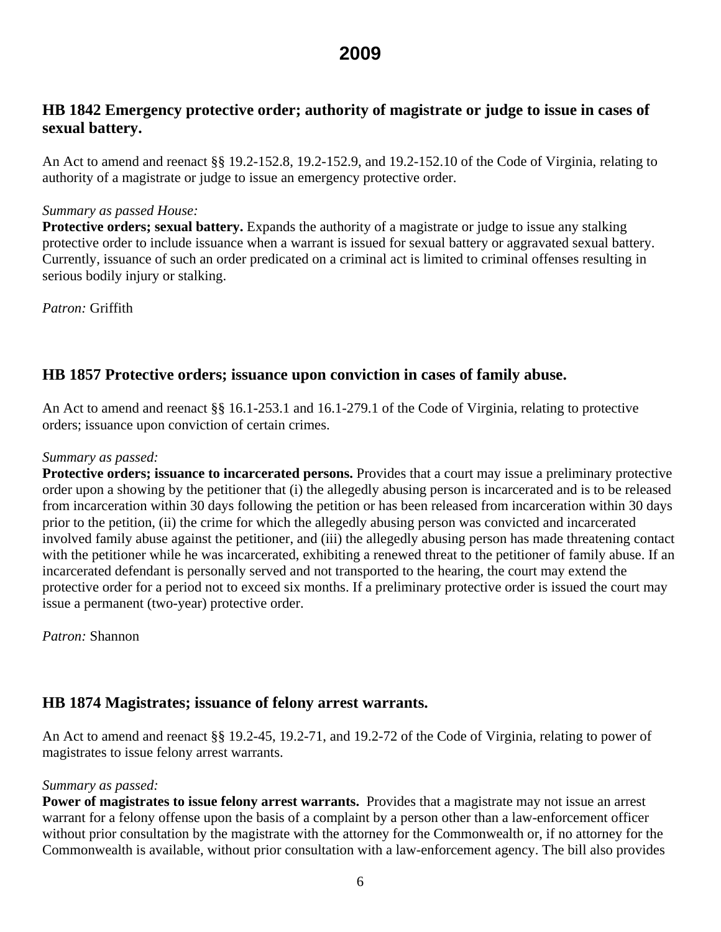### <span id="page-5-0"></span>**HB 1842 Emergency protective order; authority of magistrate or judge to issue in cases of sexual battery.**

An Act to amend and reenact §§ 19.2-152.8, 19.2-152.9, and 19.2-152.10 of the Code of Virginia, relating to authority of a magistrate or judge to issue an emergency protective order.

#### *Summary as passed House:*

**Protective orders; sexual battery.** Expands the authority of a magistrate or judge to issue any stalking protective order to include issuance when a warrant is issued for sexual battery or aggravated sexual battery. Currently, issuance of such an order predicated on a criminal act is limited to criminal offenses resulting in serious bodily injury or stalking.

*Patron:* Griffith

#### **HB 1857 Protective orders; issuance upon conviction in cases of family abuse.**

An Act to amend and reenact §§ 16.1-253.1 and 16.1-279.1 of the Code of Virginia, relating to protective orders; issuance upon conviction of certain crimes.

#### *Summary as passed:*

**Protective orders; issuance to incarcerated persons.** Provides that a court may issue a preliminary protective order upon a showing by the petitioner that (i) the allegedly abusing person is incarcerated and is to be released from incarceration within 30 days following the petition or has been released from incarceration within 30 days prior to the petition, (ii) the crime for which the allegedly abusing person was convicted and incarcerated involved family abuse against the petitioner, and (iii) the allegedly abusing person has made threatening contact with the petitioner while he was incarcerated, exhibiting a renewed threat to the petitioner of family abuse. If an incarcerated defendant is personally served and not transported to the hearing, the court may extend the protective order for a period not to exceed six months. If a preliminary protective order is issued the court may issue a permanent (two-year) protective order.

*Patron:* Shannon

#### **HB 1874 Magistrates; issuance of felony arrest warrants.**

An Act to amend and reenact §§ 19.2-45, 19.2-71, and 19.2-72 of the Code of Virginia, relating to power of magistrates to issue felony arrest warrants.

#### *Summary as passed:*

**Power of magistrates to issue felony arrest warrants.** Provides that a magistrate may not issue an arrest warrant for a felony offense upon the basis of a complaint by a person other than a law-enforcement officer without prior consultation by the magistrate with the attorney for the Commonwealth or, if no attorney for the Commonwealth is available, without prior consultation with a law-enforcement agency. The bill also provides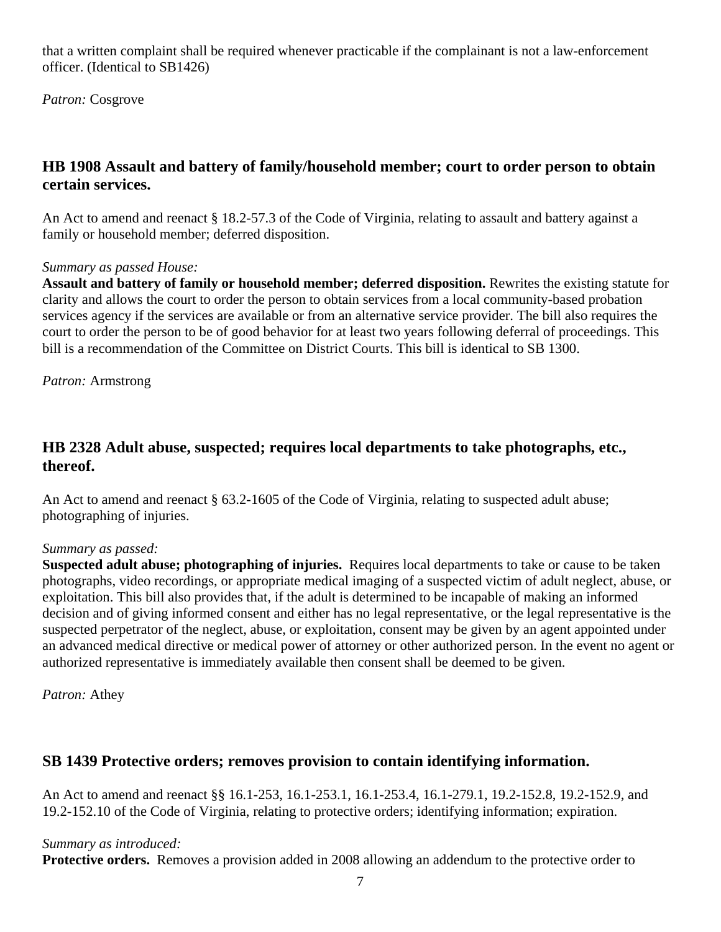<span id="page-6-0"></span>that a written complaint shall be required whenever practicable if the complainant is not a law-enforcement officer. (Identical to SB1426)

*Patron:* Cosgrove

### **HB 1908 Assault and battery of family/household member; court to order person to obtain certain services.**

An Act to amend and reenact § 18.2-57.3 of the Code of Virginia, relating to assault and battery against a family or household member; deferred disposition.

#### *Summary as passed House:*

**Assault and battery of family or household member; deferred disposition.** Rewrites the existing statute for clarity and allows the court to order the person to obtain services from a local community-based probation services agency if the services are available or from an alternative service provider. The bill also requires the court to order the person to be of good behavior for at least two years following deferral of proceedings. This bill is a recommendation of the Committee on District Courts. This bill is identical to SB 1300.

*Patron:* Armstrong

### **HB 2328 Adult abuse, suspected; requires local departments to take photographs, etc., thereof.**

An Act to amend and reenact § 63.2-1605 of the Code of Virginia, relating to suspected adult abuse; photographing of injuries.

#### *Summary as passed:*

**Suspected adult abuse; photographing of injuries.** Requires local departments to take or cause to be taken photographs, video recordings, or appropriate medical imaging of a suspected victim of adult neglect, abuse, or exploitation. This bill also provides that, if the adult is determined to be incapable of making an informed decision and of giving informed consent and either has no legal representative, or the legal representative is the suspected perpetrator of the neglect, abuse, or exploitation, consent may be given by an agent appointed under an advanced medical directive or medical power of attorney or other authorized person. In the event no agent or authorized representative is immediately available then consent shall be deemed to be given.

*Patron:* Athey

#### **SB 1439 Protective orders; removes provision to contain identifying information.**

An Act to amend and reenact §§ 16.1-253, 16.1-253.1, 16.1-253.4, 16.1-279.1, 19.2-152.8, 19.2-152.9, and 19.2-152.10 of the Code of Virginia, relating to protective orders; identifying information; expiration.

*Summary as introduced:*

**Protective orders.** Removes a provision added in 2008 allowing an addendum to the protective order to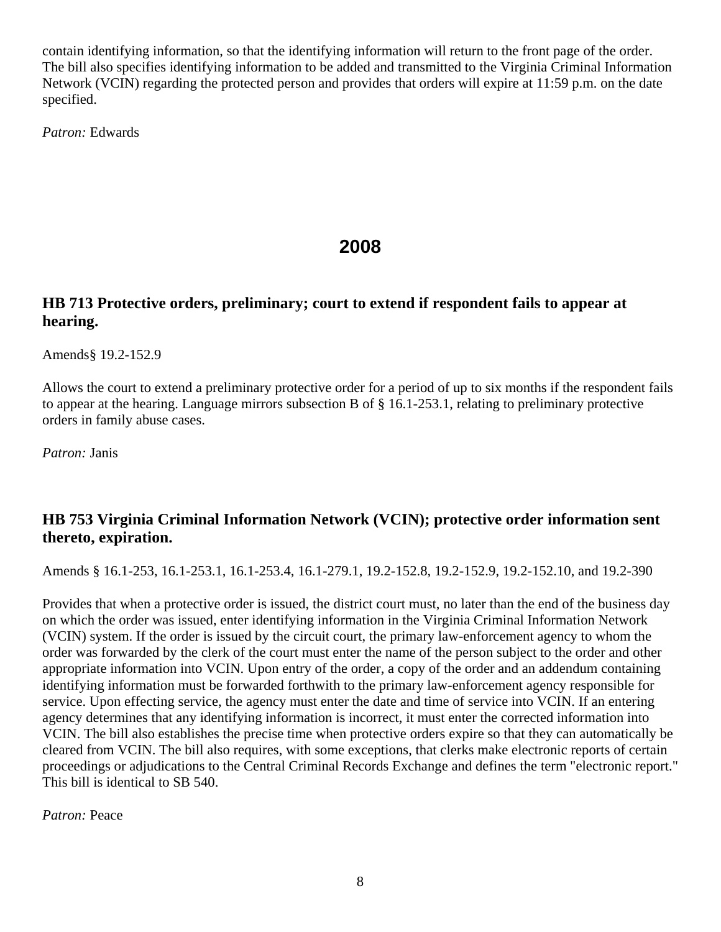<span id="page-7-0"></span>contain identifying information, so that the identifying information will return to the front page of the order. The bill also specifies identifying information to be added and transmitted to the Virginia Criminal Information Network (VCIN) regarding the protected person and provides that orders will expire at 11:59 p.m. on the date specified.

*Patron:* Edwards

## **2008**

### **HB 713 Protective orders, preliminary; court to extend if respondent fails to appear at hearing.**

Amends§ 19.2-152.9

Allows the court to extend a preliminary protective order for a period of up to six months if the respondent fails to appear at the hearing. Language mirrors subsection B of § 16.1-253.1, relating to preliminary protective orders in family abuse cases.

*Patron:* Janis

### **HB 753 Virginia Criminal Information Network (VCIN); protective order information sent thereto, expiration.**

Amends § 16.1-253, 16.1-253.1, 16.1-253.4, 16.1-279.1, 19.2-152.8, 19.2-152.9, 19.2-152.10, and 19.2-390

Provides that when a protective order is issued, the district court must, no later than the end of the business day on which the order was issued, enter identifying information in the Virginia Criminal Information Network (VCIN) system. If the order is issued by the circuit court, the primary law-enforcement agency to whom the order was forwarded by the clerk of the court must enter the name of the person subject to the order and other appropriate information into VCIN. Upon entry of the order, a copy of the order and an addendum containing identifying information must be forwarded forthwith to the primary law-enforcement agency responsible for service. Upon effecting service, the agency must enter the date and time of service into VCIN. If an entering agency determines that any identifying information is incorrect, it must enter the corrected information into VCIN. The bill also establishes the precise time when protective orders expire so that they can automatically be cleared from VCIN. The bill also requires, with some exceptions, that clerks make electronic reports of certain proceedings or adjudications to the Central Criminal Records Exchange and defines the term "electronic report." This bill is identical to SB 540.

*Patron:* Peace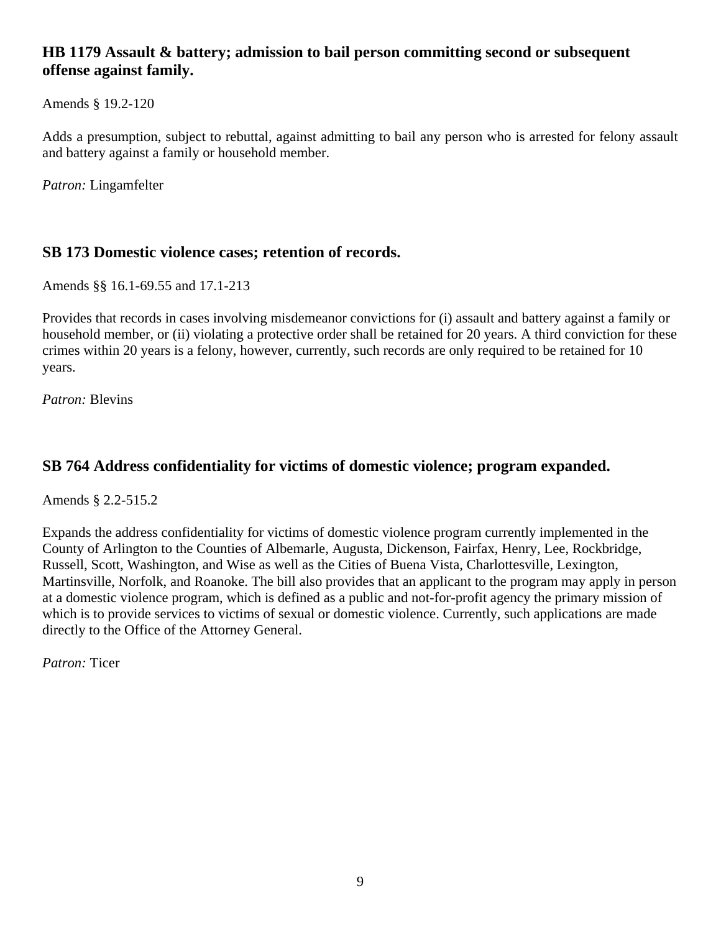### <span id="page-8-0"></span>**HB 1179 Assault & battery; admission to bail person committing second or subsequent offense against family.**

Amends § 19.2-120

Adds a presumption, subject to rebuttal, against admitting to bail any person who is arrested for felony assault and battery against a family or household member.

*Patron:* Lingamfelter

### **SB 173 Domestic violence cases; retention of records.**

Amends §§ 16.1-69.55 and 17.1-213

Provides that records in cases involving misdemeanor convictions for (i) assault and battery against a family or household member, or (ii) violating a protective order shall be retained for 20 years. A third conviction for these crimes within 20 years is a felony, however, currently, such records are only required to be retained for 10 years.

*Patron:* Blevins

### **SB 764 Address confidentiality for victims of domestic violence; program expanded.**

Amends § 2.2-515.2

Expands the address confidentiality for victims of domestic violence program currently implemented in the County of Arlington to the Counties of Albemarle, Augusta, Dickenson, Fairfax, Henry, Lee, Rockbridge, Russell, Scott, Washington, and Wise as well as the Cities of Buena Vista, Charlottesville, Lexington, Martinsville, Norfolk, and Roanoke. The bill also provides that an applicant to the program may apply in person at a domestic violence program, which is defined as a public and not-for-profit agency the primary mission of which is to provide services to victims of sexual or domestic violence. Currently, such applications are made directly to the Office of the Attorney General.

*Patron:* Ticer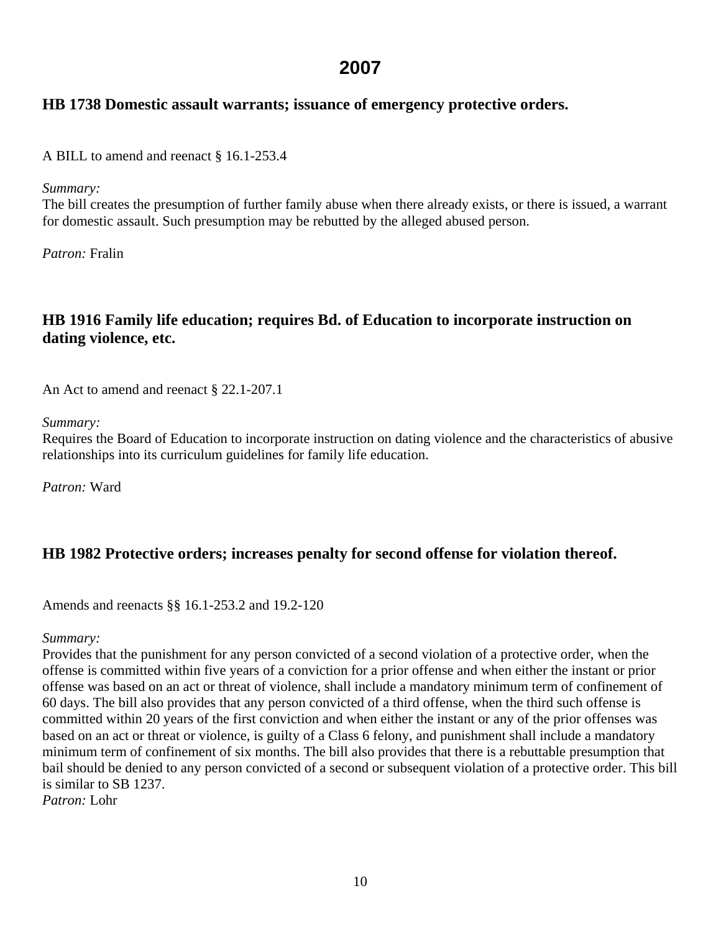#### <span id="page-9-0"></span>**HB 1738 Domestic assault warrants; issuance of emergency protective orders.**

A BILL to amend and reenact § 16.1-253.4

*Summary:* 

The bill creates the presumption of further family abuse when there already exists, or there is issued, a warrant for domestic assault. Such presumption may be rebutted by the alleged abused person.

*Patron:* Fralin

### **HB 1916 Family life education; requires Bd. of Education to incorporate instruction on dating violence, etc.**

An Act to amend and reenact § 22.1-207.1

*Summary:* 

Requires the Board of Education to incorporate instruction on dating violence and the characteristics of abusive relationships into its curriculum guidelines for family life education.

*Patron:* Ward

### **HB 1982 Protective orders; increases penalty for second offense for violation thereof.**

Amends and reenacts §§ 16.1-253.2 and 19.2-120

#### *Summary:*

Provides that the punishment for any person convicted of a second violation of a protective order, when the offense is committed within five years of a conviction for a prior offense and when either the instant or prior offense was based on an act or threat of violence, shall include a mandatory minimum term of confinement of 60 days. The bill also provides that any person convicted of a third offense, when the third such offense is committed within 20 years of the first conviction and when either the instant or any of the prior offenses was based on an act or threat or violence, is guilty of a Class 6 felony, and punishment shall include a mandatory minimum term of confinement of six months. The bill also provides that there is a rebuttable presumption that bail should be denied to any person convicted of a second or subsequent violation of a protective order. This bill is similar to SB 1237. *Patron:* Lohr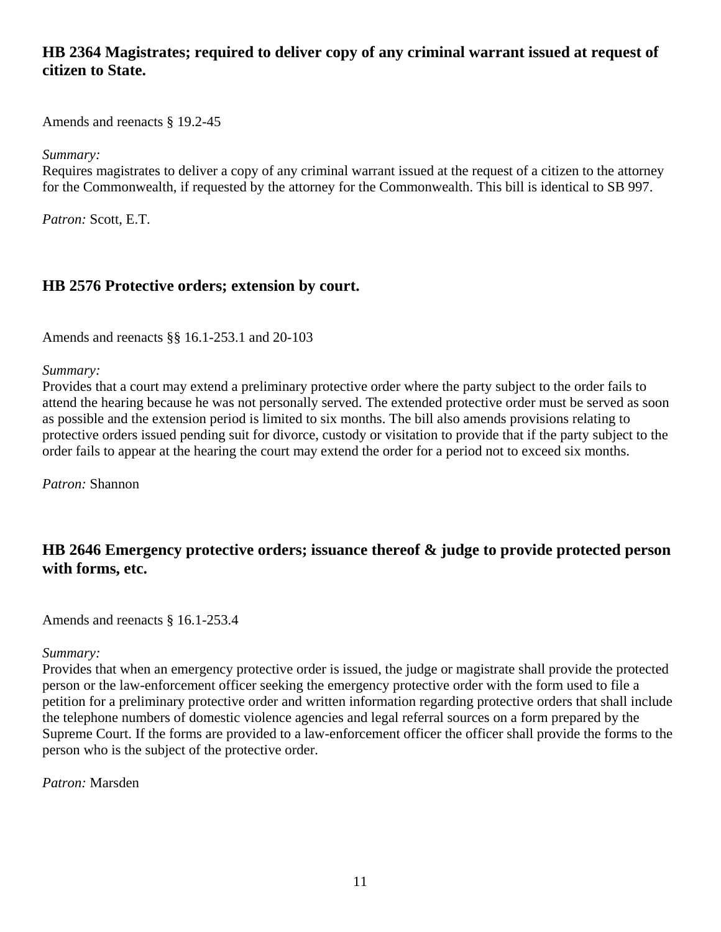### <span id="page-10-0"></span>**HB 2364 Magistrates; required to deliver copy of any criminal warrant issued at request of citizen to State.**

Amends and reenacts § 19.2-45

*Summary:* 

Requires magistrates to deliver a copy of any criminal warrant issued at the request of a citizen to the attorney for the Commonwealth, if requested by the attorney for the Commonwealth. This bill is identical to SB 997.

*Patron:* Scott, E.T.

#### **HB 2576 Protective orders; extension by court.**

Amends and reenacts §§ 16.1-253.1 and 20-103

*Summary:* 

Provides that a court may extend a preliminary protective order where the party subject to the order fails to attend the hearing because he was not personally served. The extended protective order must be served as soon as possible and the extension period is limited to six months. The bill also amends provisions relating to protective orders issued pending suit for divorce, custody or visitation to provide that if the party subject to the order fails to appear at the hearing the court may extend the order for a period not to exceed six months.

*Patron:* Shannon

### **HB 2646 Emergency protective orders; issuance thereof & judge to provide protected person with forms, etc.**

Amends and reenacts § 16.1-253.4

#### *Summary:*

Provides that when an emergency protective order is issued, the judge or magistrate shall provide the protected person or the law-enforcement officer seeking the emergency protective order with the form used to file a petition for a preliminary protective order and written information regarding protective orders that shall include the telephone numbers of domestic violence agencies and legal referral sources on a form prepared by the Supreme Court. If the forms are provided to a law-enforcement officer the officer shall provide the forms to the person who is the subject of the protective order.

*Patron:* Marsden